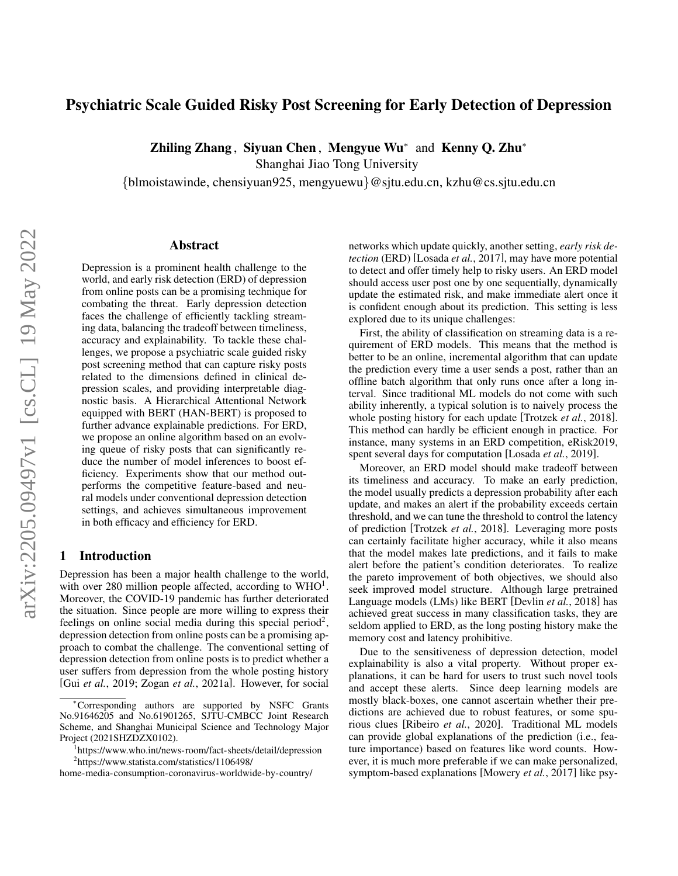# Psychiatric Scale Guided Risky Post Screening for Early Detection of Depression

Zhiling Zhang, Siyuan Chen, Mengyue Wu<sup>∗</sup> and Kenny Q. Zhu<sup>∗</sup>

Shanghai Jiao Tong University

{blmoistawinde, chensiyuan925, mengyuewu}@sjtu.edu.cn, kzhu@cs.sjtu.edu.cn

### Abstract

Depression is a prominent health challenge to the world, and early risk detection (ERD) of depression from online posts can be a promising technique for combating the threat. Early depression detection faces the challenge of efficiently tackling streaming data, balancing the tradeoff between timeliness, accuracy and explainability. To tackle these challenges, we propose a psychiatric scale guided risky post screening method that can capture risky posts related to the dimensions defined in clinical depression scales, and providing interpretable diagnostic basis. A Hierarchical Attentional Network equipped with BERT (HAN-BERT) is proposed to further advance explainable predictions. For ERD, we propose an online algorithm based on an evolving queue of risky posts that can significantly reduce the number of model inferences to boost efficiency. Experiments show that our method outperforms the competitive feature-based and neural models under conventional depression detection settings, and achieves simultaneous improvement in both efficacy and efficiency for ERD.

### 1 Introduction

Depression has been a major health challenge to the world, with over 280 million people affected, according to  $WHO<sup>1</sup>$ . Moreover, the COVID-19 pandemic has further deteriorated the situation. Since people are more willing to express their feelings on online social media during this special period<sup>2</sup>, depression detection from online posts can be a promising approach to combat the challenge. The conventional setting of depression detection from online posts is to predict whether a user suffers from depression from the whole posting history [Gui *et al.*, 2019; Zogan *et al.*, 2021a]. However, for social networks which update quickly, another setting, *early risk detection* (ERD) [Losada *et al.*, 2017], may have more potential to detect and offer timely help to risky users. An ERD model should access user post one by one sequentially, dynamically update the estimated risk, and make immediate alert once it is confident enough about its prediction. This setting is less explored due to its unique challenges:

First, the ability of classification on streaming data is a requirement of ERD models. This means that the method is better to be an online, incremental algorithm that can update the prediction every time a user sends a post, rather than an offline batch algorithm that only runs once after a long interval. Since traditional ML models do not come with such ability inherently, a typical solution is to naively process the whole posting history for each update [Trotzek *et al.*, 2018]. This method can hardly be efficient enough in practice. For instance, many systems in an ERD competition, eRisk2019, spent several days for computation [Losada *et al.*, 2019].

Moreover, an ERD model should make tradeoff between its timeliness and accuracy. To make an early prediction, the model usually predicts a depression probability after each update, and makes an alert if the probability exceeds certain threshold, and we can tune the threshold to control the latency of prediction [Trotzek *et al.*, 2018]. Leveraging more posts can certainly facilitate higher accuracy, while it also means that the model makes late predictions, and it fails to make alert before the patient's condition deteriorates. To realize the pareto improvement of both objectives, we should also seek improved model structure. Although large pretrained Language models (LMs) like BERT [Devlin *et al.*, 2018] has achieved great success in many classification tasks, they are seldom applied to ERD, as the long posting history make the memory cost and latency prohibitive.

Due to the sensitiveness of depression detection, model explainability is also a vital property. Without proper explanations, it can be hard for users to trust such novel tools and accept these alerts. Since deep learning models are mostly black-boxes, one cannot ascertain whether their predictions are achieved due to robust features, or some spurious clues [Ribeiro *et al.*, 2020]. Traditional ML models can provide global explanations of the prediction (i.e., feature importance) based on features like word counts. However, it is much more preferable if we can make personalized, symptom-based explanations [Mowery *et al.*, 2017] like psy-

<sup>∗</sup>Corresponding authors are supported by NSFC Grants No.91646205 and No.61901265, SJTU-CMBCC Joint Research Scheme, and Shanghai Municipal Science and Technology Major Project (2021SHZDZX0102).

<sup>1</sup> https://www.who.int/news-room/fact-sheets/detail/depression 2 https://www.statista.com/statistics/1106498/

home-media-consumption-coronavirus-worldwide-by-country/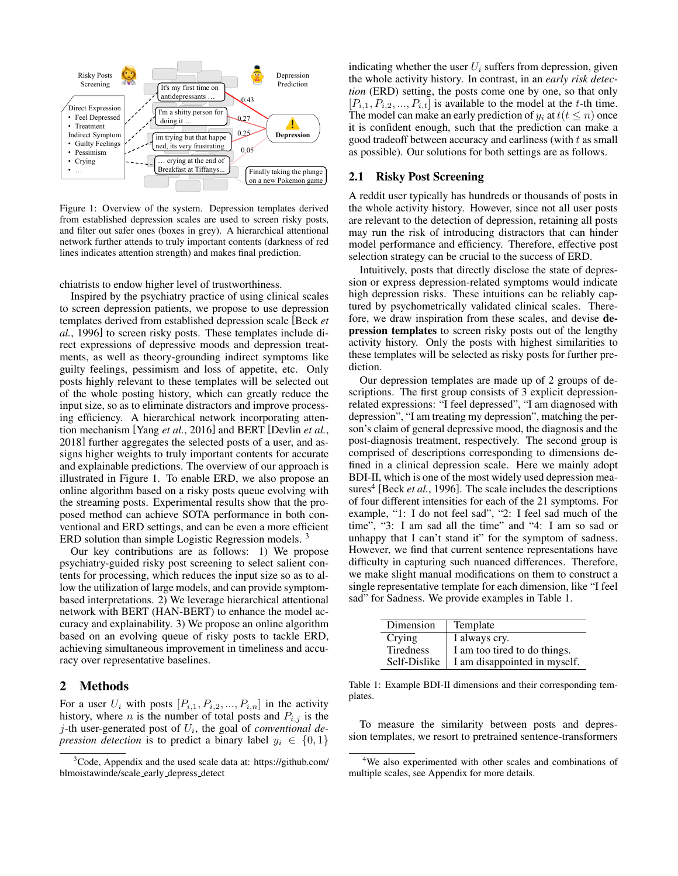

Figure 1: Overview of the system. Depression templates derived from established depression scales are used to screen risky posts, and filter out safer ones (boxes in grey). A hierarchical attentional network further attends to truly important contents (darkness of red lines indicates attention strength) and makes final prediction.

chiatrists to endow higher level of trustworthiness.

Inspired by the psychiatry practice of using clinical scales to screen depression patients, we propose to use depression templates derived from established depression scale [Beck *et al.*, 1996] to screen risky posts. These templates include direct expressions of depressive moods and depression treatments, as well as theory-grounding indirect symptoms like guilty feelings, pessimism and loss of appetite, etc. Only posts highly relevant to these templates will be selected out of the whole posting history, which can greatly reduce the input size, so as to eliminate distractors and improve processing efficiency. A hierarchical network incorporating attention mechanism [Yang *et al.*, 2016] and BERT [Devlin *et al.*, 2018] further aggregates the selected posts of a user, and assigns higher weights to truly important contents for accurate and explainable predictions. The overview of our approach is illustrated in Figure 1. To enable ERD, we also propose an online algorithm based on a risky posts queue evolving with the streaming posts. Experimental results show that the proposed method can achieve SOTA performance in both conventional and ERD settings, and can be even a more efficient ERD solution than simple Logistic Regression models.<sup>3</sup>

Our key contributions are as follows: 1) We propose psychiatry-guided risky post screening to select salient contents for processing, which reduces the input size so as to allow the utilization of large models, and can provide symptombased interpretations. 2) We leverage hierarchical attentional network with BERT (HAN-BERT) to enhance the model accuracy and explainability. 3) We propose an online algorithm based on an evolving queue of risky posts to tackle ERD, achieving simultaneous improvement in timeliness and accuracy over representative baselines.

### 2 Methods

For a user  $U_i$  with posts  $[P_{i,1}, P_{i,2},..., P_{i,n}]$  in the activity history, where *n* is the number of total posts and  $P_{i,j}$  is the  $j$ -th user-generated post of  $U_i$ , the goal of *conventional depression detection* is to predict a binary label  $y_i \in \{0, 1\}$ 

It's my first time on<br>antidepressants ... <br>and only one, so that only Depression good tradeoff between accuracy and earliness (with  $t$  as small  $[P_{i,1}, P_{i,2}, ..., P_{i,t}]$  is available to the model at the t-th time. Depression<br> **Prediction**the whole activity history. In contrast, in an *early risk detec*-0.27 The model can make an early prediction of  $y_i$  at  $t(t \leq n)$  once  $\frac{1}{10^{25}}$  it is confident enough, such that the prediction can make a indicating whether the user  $U_i$  suffers from depression, given

### 2.1 Risky Post Screening

A reddit user typically has hundreds or thousands of posts in the whole activity history. However, since not all user posts are relevant to the detection of depression, retaining all posts may run the risk of introducing distractors that can hinder model performance and efficiency. Therefore, effective post selection strategy can be crucial to the success of ERD.

Intuitively, posts that directly disclose the state of depression or express depression-related symptoms would indicate high depression risks. These intuitions can be reliably captured by psychometrically validated clinical scales. Therefore, we draw inspiration from these scales, and devise depression templates to screen risky posts out of the lengthy activity history. Only the posts with highest similarities to these templates will be selected as risky posts for further prediction.

Our depression templates are made up of 2 groups of descriptions. The first group consists of 3 explicit depressionrelated expressions: "I feel depressed", "I am diagnosed with depression", "I am treating my depression", matching the person's claim of general depressive mood, the diagnosis and the post-diagnosis treatment, respectively. The second group is comprised of descriptions corresponding to dimensions defined in a clinical depression scale. Here we mainly adopt BDI-II, which is one of the most widely used depression measures<sup>4</sup> [Beck *et al.*, 1996]. The scale includes the descriptions of four different intensities for each of the 21 symptoms. For example, "1: I do not feel sad", "2: I feel sad much of the time", "3: I am sad all the time" and "4: I am so sad or unhappy that I can't stand it" for the symptom of sadness. However, we find that current sentence representations have difficulty in capturing such nuanced differences. Therefore, we make slight manual modifications on them to construct a single representative template for each dimension, like "I feel sad" for Sadness. We provide examples in Table 1.

| Dimension        | Template                     |
|------------------|------------------------------|
| Crying           | I always cry.                |
| <b>Tiredness</b> | I am too tired to do things. |
| Self-Dislike     | I am disappointed in myself. |

Table 1: Example BDI-II dimensions and their corresponding templates.

To measure the similarity between posts and depression templates, we resort to pretrained sentence-transformers

<sup>&</sup>lt;sup>3</sup>Code, Appendix and the used scale data at: https://github.com/ blmoistawinde/scale early depress detect

<sup>4</sup>We also experimented with other scales and combinations of multiple scales, see Appendix for more details.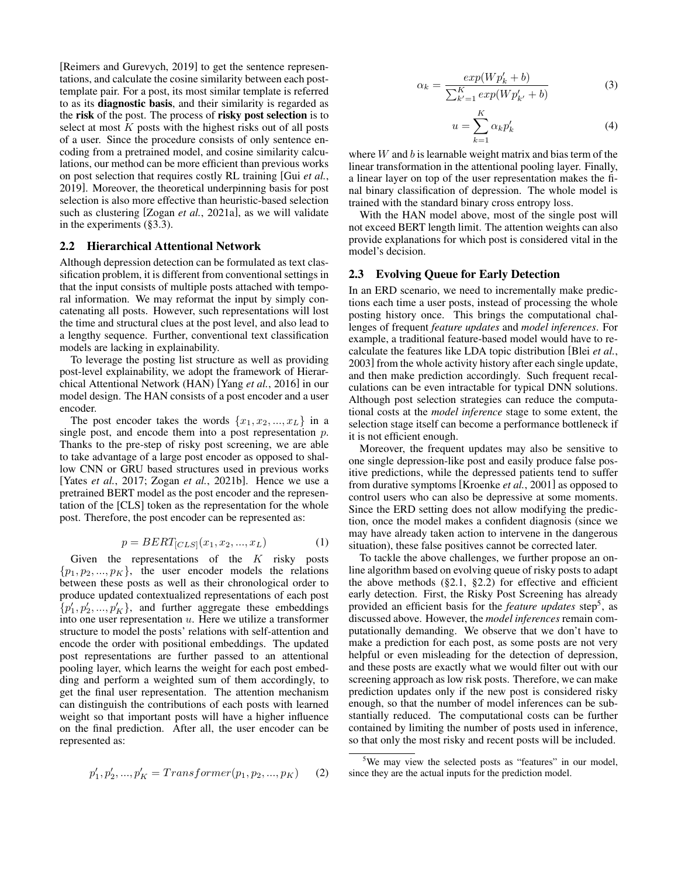[Reimers and Gurevych, 2019] to get the sentence representations, and calculate the cosine similarity between each posttemplate pair. For a post, its most similar template is referred to as its diagnostic basis, and their similarity is regarded as the risk of the post. The process of risky post selection is to select at most  $K$  posts with the highest risks out of all posts of a user. Since the procedure consists of only sentence encoding from a pretrained model, and cosine similarity calculations, our method can be more efficient than previous works on post selection that requires costly RL training [Gui *et al.*, 2019]. Moreover, the theoretical underpinning basis for post selection is also more effective than heuristic-based selection such as clustering [Zogan *et al.*, 2021a], as we will validate in the experiments (§3.3).

### 2.2 Hierarchical Attentional Network

Although depression detection can be formulated as text classification problem, it is different from conventional settings in that the input consists of multiple posts attached with temporal information. We may reformat the input by simply concatenating all posts. However, such representations will lost the time and structural clues at the post level, and also lead to a lengthy sequence. Further, conventional text classification models are lacking in explainability.

To leverage the posting list structure as well as providing post-level explainability, we adopt the framework of Hierarchical Attentional Network (HAN) [Yang *et al.*, 2016] in our model design. The HAN consists of a post encoder and a user encoder.

The post encoder takes the words  $\{x_1, x_2, ..., x_L\}$  in a single post, and encode them into a post representation  $p$ . Thanks to the pre-step of risky post screening, we are able to take advantage of a large post encoder as opposed to shallow CNN or GRU based structures used in previous works [Yates *et al.*, 2017; Zogan *et al.*, 2021b]. Hence we use a pretrained BERT model as the post encoder and the representation of the [CLS] token as the representation for the whole post. Therefore, the post encoder can be represented as:

$$
p = BERT_{[CLS]}(x_1, x_2, ..., x_L)
$$
 (1)

Given the representations of the  $K$  risky posts  $\{p_1, p_2, ..., p_K\}$ , the user encoder models the relations between these posts as well as their chronological order to produce updated contextualized representations of each post  $\{p'_1, p'_2, ..., p'_K\}$ , and further aggregate these embeddings into one user representation  $u$ . Here we utilize a transformer structure to model the posts' relations with self-attention and encode the order with positional embeddings. The updated post representations are further passed to an attentional pooling layer, which learns the weight for each post embedding and perform a weighted sum of them accordingly, to get the final user representation. The attention mechanism can distinguish the contributions of each posts with learned weight so that important posts will have a higher influence on the final prediction. After all, the user encoder can be represented as:

$$
p'_1, p'_2, ..., p'_K = Transfer(p_1, p_2, ..., p_K)
$$
 (2)

$$
\alpha_k = \frac{\exp(Wp'_k + b)}{\sum_{k'=1}^{K} \exp(Wp'_{k'} + b)}
$$
(3)

$$
u = \sum_{k=1}^{K} \alpha_k p'_k \tag{4}
$$

where  $W$  and  $b$  is learnable weight matrix and bias term of the linear transformation in the attentional pooling layer. Finally, a linear layer on top of the user representation makes the final binary classification of depression. The whole model is trained with the standard binary cross entropy loss.

With the HAN model above, most of the single post will not exceed BERT length limit. The attention weights can also provide explanations for which post is considered vital in the model's decision.

#### 2.3 Evolving Queue for Early Detection

In an ERD scenario, we need to incrementally make predictions each time a user posts, instead of processing the whole posting history once. This brings the computational challenges of frequent *feature updates* and *model inferences*. For example, a traditional feature-based model would have to recalculate the features like LDA topic distribution [Blei *et al.*, 2003] from the whole activity history after each single update, and then make prediction accordingly. Such frequent recalculations can be even intractable for typical DNN solutions. Although post selection strategies can reduce the computational costs at the *model inference* stage to some extent, the selection stage itself can become a performance bottleneck if it is not efficient enough.

Moreover, the frequent updates may also be sensitive to one single depression-like post and easily produce false positive predictions, while the depressed patients tend to suffer from durative symptoms [Kroenke *et al.*, 2001] as opposed to control users who can also be depressive at some moments. Since the ERD setting does not allow modifying the prediction, once the model makes a confident diagnosis (since we may have already taken action to intervene in the dangerous situation), these false positives cannot be corrected later.

To tackle the above challenges, we further propose an online algorithm based on evolving queue of risky posts to adapt the above methods  $(\S2.1, \S2.2)$  for effective and efficient early detection. First, the Risky Post Screening has already provided an efficient basis for the *feature updates* step<sup>5</sup> , as discussed above. However, the *model inferences* remain computationally demanding. We observe that we don't have to make a prediction for each post, as some posts are not very helpful or even misleading for the detection of depression, and these posts are exactly what we would filter out with our screening approach as low risk posts. Therefore, we can make prediction updates only if the new post is considered risky enough, so that the number of model inferences can be substantially reduced. The computational costs can be further contained by limiting the number of posts used in inference, so that only the most risky and recent posts will be included.

<sup>&</sup>lt;sup>5</sup>We may view the selected posts as "features" in our model, since they are the actual inputs for the prediction model.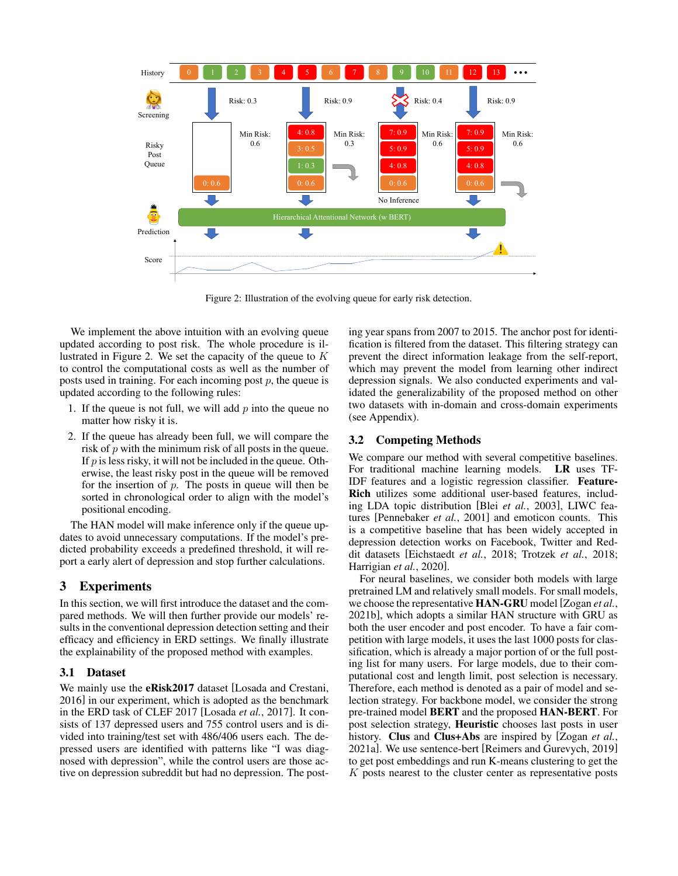

Figure 2: Illustration of the evolving queue for early risk detection.

We implement the above intuition with an evolving queue updated according to post risk. The whole procedure is illustrated in Figure 2. We set the capacity of the queue to  $K$ to control the computational costs as well as the number of posts used in training. For each incoming post  $p$ , the queue is updated according to the following rules:

- 1. If the queue is not full, we will add  $p$  into the queue no matter how risky it is.
- 2. If the queue has already been full, we will compare the risk of  $p$  with the minimum risk of all posts in the queue. If  $p$  is less risky, it will not be included in the queue. Otherwise, the least risky post in the queue will be removed for the insertion of  $p$ . The posts in queue will then be sorted in chronological order to align with the model's positional encoding.

The HAN model will make inference only if the queue updates to avoid unnecessary computations. If the model's predicted probability exceeds a predefined threshold, it will report a early alert of depression and stop further calculations.

### 3 Experiments

In this section, we will first introduce the dataset and the compared methods. We will then further provide our models' results in the conventional depression detection setting and their efficacy and efficiency in ERD settings. We finally illustrate the explainability of the proposed method with examples.

### 3.1 Dataset

We mainly use the **eRisk2017** dataset [Losada and Crestani, 2016] in our experiment, which is adopted as the benchmark in the ERD task of CLEF 2017 [Losada *et al.*, 2017]. It consists of 137 depressed users and 755 control users and is divided into training/test set with 486/406 users each. The depressed users are identified with patterns like "I was diagnosed with depression", while the control users are those active on depression subreddit but had no depression. The posting year spans from 2007 to 2015. The anchor post for identification is filtered from the dataset. This filtering strategy can prevent the direct information leakage from the self-report, which may prevent the model from learning other indirect depression signals. We also conducted experiments and validated the generalizability of the proposed method on other two datasets with in-domain and cross-domain experiments (see Appendix).

#### 3.2 Competing Methods

We compare our method with several competitive baselines. For traditional machine learning models. LR uses TF-IDF features and a logistic regression classifier. Feature-Rich utilizes some additional user-based features, including LDA topic distribution [Blei *et al.*, 2003], LIWC features [Pennebaker *et al.*, 2001] and emoticon counts. This is a competitive baseline that has been widely accepted in depression detection works on Facebook, Twitter and Reddit datasets [Eichstaedt *et al.*, 2018; Trotzek *et al.*, 2018; Harrigian *et al.*, 2020].

For neural baselines, we consider both models with large pretrained LM and relatively small models. For small models, we choose the representative HAN-GRU model [Zogan *et al.*, 2021b], which adopts a similar HAN structure with GRU as both the user encoder and post encoder. To have a fair competition with large models, it uses the last 1000 posts for classification, which is already a major portion of or the full posting list for many users. For large models, due to their computational cost and length limit, post selection is necessary. Therefore, each method is denoted as a pair of model and selection strategy. For backbone model, we consider the strong pre-trained model BERT and the proposed HAN-BERT. For post selection strategy, Heuristic chooses last posts in user history. Clus and Clus+Abs are inspired by [Zogan *et al.*, 2021a]. We use sentence-bert [Reimers and Gurevych, 2019] to get post embeddings and run K-means clustering to get the K posts nearest to the cluster center as representative posts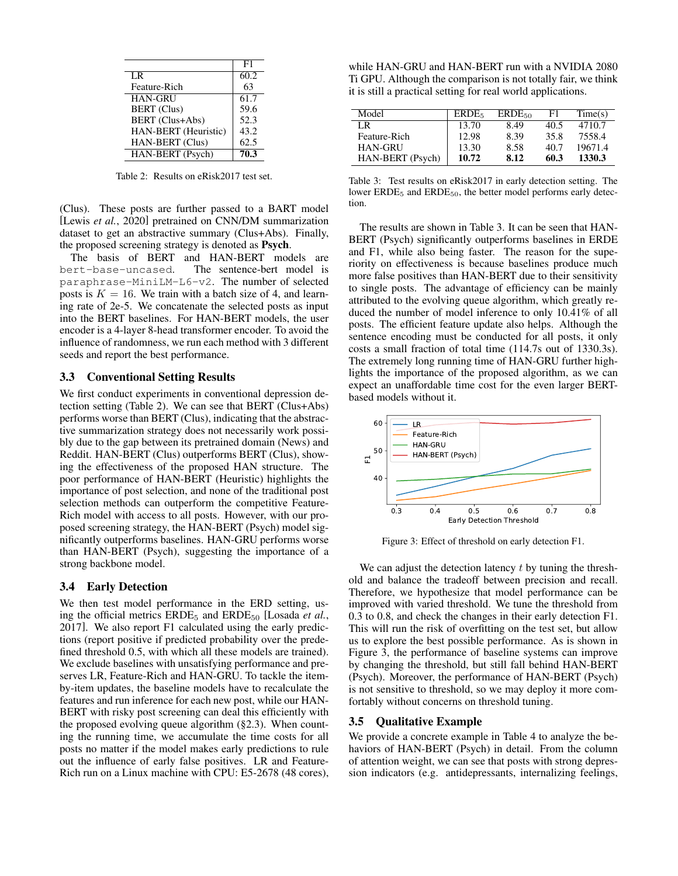|                        | F1   |
|------------------------|------|
| LR                     | 60.2 |
| Feature-Rich           | 63   |
| <b>HAN-GRU</b>         | 61.7 |
| <b>BERT</b> (Clus)     | 59.6 |
| <b>BERT</b> (Clus+Abs) | 52.3 |
| HAN-BERT (Heuristic)   | 43.2 |
| HAN-BERT (Clus)        | 62.5 |
| HAN-BERT (Psych)       | 70.3 |

Table 2: Results on eRisk2017 test set.

(Clus). These posts are further passed to a BART model [Lewis *et al.*, 2020] pretrained on CNN/DM summarization dataset to get an abstractive summary (Clus+Abs). Finally, the proposed screening strategy is denoted as Psych.

The basis of BERT and HAN-BERT models are bert-base-uncased. The sentence-bert model is paraphrase-MiniLM-L6-v2. The number of selected posts is  $K = 16$ . We train with a batch size of 4, and learning rate of 2e-5. We concatenate the selected posts as input into the BERT baselines. For HAN-BERT models, the user encoder is a 4-layer 8-head transformer encoder. To avoid the influence of randomness, we run each method with 3 different seeds and report the best performance.

### 3.3 Conventional Setting Results

We first conduct experiments in conventional depression detection setting (Table 2). We can see that BERT (Clus+Abs) performs worse than BERT (Clus), indicating that the abstractive summarization strategy does not necessarily work possibly due to the gap between its pretrained domain (News) and Reddit. HAN-BERT (Clus) outperforms BERT (Clus), showing the effectiveness of the proposed HAN structure. The poor performance of HAN-BERT (Heuristic) highlights the importance of post selection, and none of the traditional post selection methods can outperform the competitive Feature-Rich model with access to all posts. However, with our proposed screening strategy, the HAN-BERT (Psych) model significantly outperforms baselines. HAN-GRU performs worse than HAN-BERT (Psych), suggesting the importance of a strong backbone model.

#### 3.4 Early Detection

We then test model performance in the ERD setting, using the official metrics ERDE<sub>5</sub> and ERDE<sub>50</sub> [Losada *et al.*, 2017]. We also report F1 calculated using the early predictions (report positive if predicted probability over the predefined threshold 0.5, with which all these models are trained). We exclude baselines with unsatisfying performance and preserves LR, Feature-Rich and HAN-GRU. To tackle the itemby-item updates, the baseline models have to recalculate the features and run inference for each new post, while our HAN-BERT with risky post screening can deal this efficiently with the proposed evolving queue algorithm (§2.3). When counting the running time, we accumulate the time costs for all posts no matter if the model makes early predictions to rule out the influence of early false positives. LR and Feature-Rich run on a Linux machine with CPU: E5-2678 (48 cores),

while HAN-GRU and HAN-BERT run with a NVIDIA 2080 Ti GPU. Although the comparison is not totally fair, we think it is still a practical setting for real world applications.

| Model            | ERDE <sub>5</sub> | $ERDE_{50}$ | F1   | Time(s) |
|------------------|-------------------|-------------|------|---------|
| LR               | 13.70             | 8.49        | 40.5 | 4710.7  |
| Feature-Rich     | 12.98             | 8.39        | 35.8 | 7558.4  |
| <b>HAN-GRU</b>   | 13.30             | 8.58        | 40.7 | 19671.4 |
| HAN-BERT (Psych) | 10.72             | 8.12        | 60.3 | 1330.3  |

Table 3: Test results on eRisk2017 in early detection setting. The lower ERDE<sub>5</sub> and ERDE<sub>50</sub>, the better model performs early detection.

The results are shown in Table 3. It can be seen that HAN-BERT (Psych) significantly outperforms baselines in ERDE and F1, while also being faster. The reason for the superiority on effectiveness is because baselines produce much more false positives than HAN-BERT due to their sensitivity to single posts. The advantage of efficiency can be mainly attributed to the evolving queue algorithm, which greatly reduced the number of model inference to only 10.41% of all posts. The efficient feature update also helps. Although the sentence encoding must be conducted for all posts, it only costs a small fraction of total time (114.7s out of 1330.3s). The extremely long running time of HAN-GRU further highlights the importance of the proposed algorithm, as we can expect an unaffordable time cost for the even larger BERTbased models without it.



Figure 3: Effect of threshold on early detection F1.

We can adjust the detection latency  $t$  by tuning the threshold and balance the tradeoff between precision and recall. Therefore, we hypothesize that model performance can be improved with varied threshold. We tune the threshold from 0.3 to 0.8, and check the changes in their early detection F1. This will run the risk of overfitting on the test set, but allow us to explore the best possible performance. As is shown in Figure 3, the performance of baseline systems can improve by changing the threshold, but still fall behind HAN-BERT (Psych). Moreover, the performance of HAN-BERT (Psych) is not sensitive to threshold, so we may deploy it more comfortably without concerns on threshold tuning.

#### 3.5 Qualitative Example

We provide a concrete example in Table 4 to analyze the behaviors of HAN-BERT (Psych) in detail. From the column of attention weight, we can see that posts with strong depression indicators (e.g. antidepressants, internalizing feelings,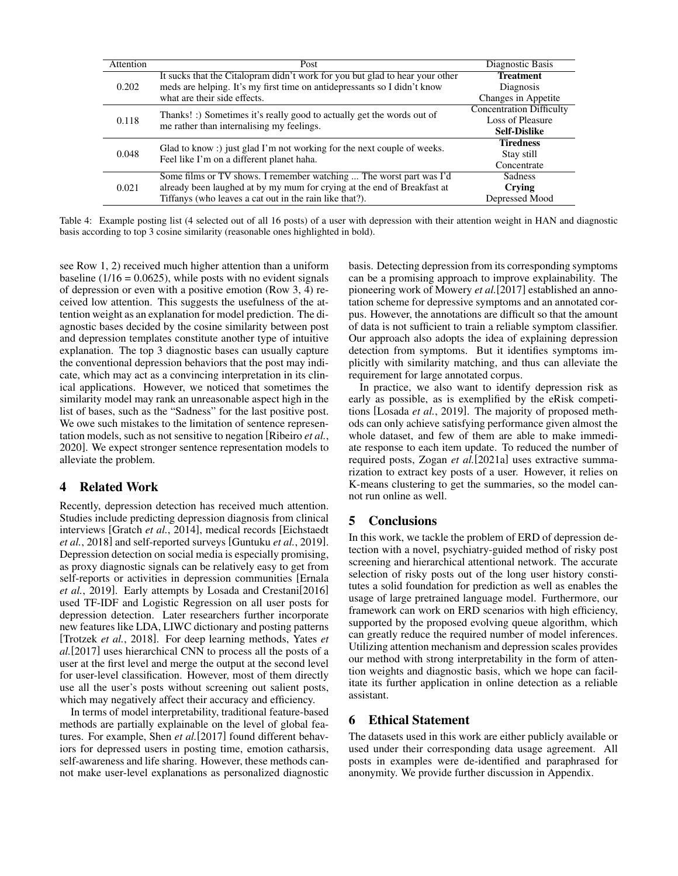| Attention | Post                                                                         | Diagnostic Basis                |
|-----------|------------------------------------------------------------------------------|---------------------------------|
|           | It sucks that the Citalopram didn't work for you but glad to hear your other | <b>Treatment</b>                |
| 0.202     | meds are helping. It's my first time on antidepressants so I didn't know     | Diagnosis                       |
|           | what are their side effects.                                                 | Changes in Appetite             |
|           | Thanks! :) Sometimes it's really good to actually get the words out of       | <b>Concentration Difficulty</b> |
| 0.118     | me rather than internalising my feelings.                                    | Loss of Pleasure                |
|           |                                                                              | <b>Self-Dislike</b>             |
|           | Glad to know: just glad I'm not working for the next couple of weeks.        | <b>Tiredness</b>                |
| 0.048     | Feel like I'm on a different planet haha.                                    | Stay still                      |
|           |                                                                              | Concentrate                     |
|           | Some films or TV shows. I remember watching  The worst part was I'd          | Sadness                         |
| 0.021     | already been laughed at by my mum for crying at the end of Breakfast at      | Crying                          |
|           | Tiffanys (who leaves a cat out in the rain like that?).                      | Depressed Mood                  |

Table 4: Example posting list (4 selected out of all 16 posts) of a user with depression with their attention weight in HAN and diagnostic basis according to top 3 cosine similarity (reasonable ones highlighted in bold).

see Row 1, 2) received much higher attention than a uniform baseline  $(1/16 = 0.0625)$ , while posts with no evident signals of depression or even with a positive emotion (Row 3, 4) received low attention. This suggests the usefulness of the attention weight as an explanation for model prediction. The diagnostic bases decided by the cosine similarity between post and depression templates constitute another type of intuitive explanation. The top 3 diagnostic bases can usually capture the conventional depression behaviors that the post may indicate, which may act as a convincing interpretation in its clinical applications. However, we noticed that sometimes the similarity model may rank an unreasonable aspect high in the list of bases, such as the "Sadness" for the last positive post. We owe such mistakes to the limitation of sentence representation models, such as not sensitive to negation [Ribeiro *et al.*, 2020]. We expect stronger sentence representation models to alleviate the problem.

### 4 Related Work

Recently, depression detection has received much attention. Studies include predicting depression diagnosis from clinical interviews [Gratch *et al.*, 2014], medical records [Eichstaedt *et al.*, 2018] and self-reported surveys [Guntuku *et al.*, 2019]. Depression detection on social media is especially promising, as proxy diagnostic signals can be relatively easy to get from self-reports or activities in depression communities [Ernala *et al.*, 2019]. Early attempts by Losada and Crestani[2016] used TF-IDF and Logistic Regression on all user posts for depression detection. Later researchers further incorporate new features like LDA, LIWC dictionary and posting patterns [Trotzek *et al.*, 2018]. For deep learning methods, Yates *et al.*[2017] uses hierarchical CNN to process all the posts of a user at the first level and merge the output at the second level for user-level classification. However, most of them directly use all the user's posts without screening out salient posts, which may negatively affect their accuracy and efficiency.

In terms of model interpretability, traditional feature-based methods are partially explainable on the level of global features. For example, Shen *et al.*[2017] found different behaviors for depressed users in posting time, emotion catharsis, self-awareness and life sharing. However, these methods cannot make user-level explanations as personalized diagnostic basis. Detecting depression from its corresponding symptoms can be a promising approach to improve explainability. The pioneering work of Mowery *et al.*[2017] established an annotation scheme for depressive symptoms and an annotated corpus. However, the annotations are difficult so that the amount of data is not sufficient to train a reliable symptom classifier. Our approach also adopts the idea of explaining depression detection from symptoms. But it identifies symptoms implicitly with similarity matching, and thus can alleviate the requirement for large annotated corpus.

In practice, we also want to identify depression risk as early as possible, as is exemplified by the eRisk competitions [Losada *et al.*, 2019]. The majority of proposed methods can only achieve satisfying performance given almost the whole dataset, and few of them are able to make immediate response to each item update. To reduced the number of required posts, Zogan *et al.*[2021a] uses extractive summarization to extract key posts of a user. However, it relies on K-means clustering to get the summaries, so the model cannot run online as well.

## 5 Conclusions

In this work, we tackle the problem of ERD of depression detection with a novel, psychiatry-guided method of risky post screening and hierarchical attentional network. The accurate selection of risky posts out of the long user history constitutes a solid foundation for prediction as well as enables the usage of large pretrained language model. Furthermore, our framework can work on ERD scenarios with high efficiency, supported by the proposed evolving queue algorithm, which can greatly reduce the required number of model inferences. Utilizing attention mechanism and depression scales provides our method with strong interpretability in the form of attention weights and diagnostic basis, which we hope can facilitate its further application in online detection as a reliable assistant.

### 6 Ethical Statement

The datasets used in this work are either publicly available or used under their corresponding data usage agreement. All posts in examples were de-identified and paraphrased for anonymity. We provide further discussion in Appendix.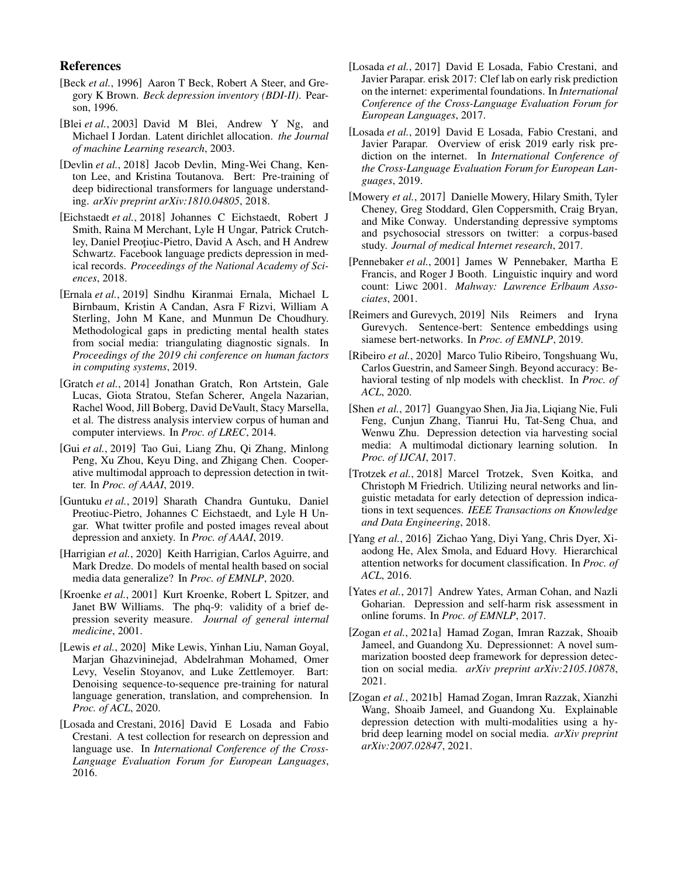### References

- [Beck *et al.*, 1996] Aaron T Beck, Robert A Steer, and Gregory K Brown. *Beck depression inventory (BDI-II)*. Pearson, 1996.
- [Blei *et al.*, 2003] David M Blei, Andrew Y Ng, and Michael I Jordan. Latent dirichlet allocation. *the Journal of machine Learning research*, 2003.
- [Devlin *et al.*, 2018] Jacob Devlin, Ming-Wei Chang, Kenton Lee, and Kristina Toutanova. Bert: Pre-training of deep bidirectional transformers for language understanding. *arXiv preprint arXiv:1810.04805*, 2018.
- [Eichstaedt *et al.*, 2018] Johannes C Eichstaedt, Robert J Smith, Raina M Merchant, Lyle H Ungar, Patrick Crutchley, Daniel Preoțiuc-Pietro, David A Asch, and H Andrew Schwartz. Facebook language predicts depression in medical records. *Proceedings of the National Academy of Sciences*, 2018.
- [Ernala *et al.*, 2019] Sindhu Kiranmai Ernala, Michael L Birnbaum, Kristin A Candan, Asra F Rizvi, William A Sterling, John M Kane, and Munmun De Choudhury. Methodological gaps in predicting mental health states from social media: triangulating diagnostic signals. In *Proceedings of the 2019 chi conference on human factors in computing systems*, 2019.
- [Gratch *et al.*, 2014] Jonathan Gratch, Ron Artstein, Gale Lucas, Giota Stratou, Stefan Scherer, Angela Nazarian, Rachel Wood, Jill Boberg, David DeVault, Stacy Marsella, et al. The distress analysis interview corpus of human and computer interviews. In *Proc. of LREC*, 2014.
- [Gui *et al.*, 2019] Tao Gui, Liang Zhu, Qi Zhang, Minlong Peng, Xu Zhou, Keyu Ding, and Zhigang Chen. Cooperative multimodal approach to depression detection in twitter. In *Proc. of AAAI*, 2019.
- [Guntuku *et al.*, 2019] Sharath Chandra Guntuku, Daniel Preotiuc-Pietro, Johannes C Eichstaedt, and Lyle H Ungar. What twitter profile and posted images reveal about depression and anxiety. In *Proc. of AAAI*, 2019.
- [Harrigian et al., 2020] Keith Harrigian, Carlos Aguirre, and Mark Dredze. Do models of mental health based on social media data generalize? In *Proc. of EMNLP*, 2020.
- [Kroenke et al., 2001] Kurt Kroenke, Robert L Spitzer, and Janet BW Williams. The phq-9: validity of a brief depression severity measure. *Journal of general internal medicine*, 2001.
- [Lewis *et al.*, 2020] Mike Lewis, Yinhan Liu, Naman Goyal, Marjan Ghazvininejad, Abdelrahman Mohamed, Omer Levy, Veselin Stoyanov, and Luke Zettlemoyer. Bart: Denoising sequence-to-sequence pre-training for natural language generation, translation, and comprehension. In *Proc. of ACL*, 2020.
- [Losada and Crestani, 2016] David E Losada and Fabio Crestani. A test collection for research on depression and language use. In *International Conference of the Cross-Language Evaluation Forum for European Languages*, 2016.
- [Losada *et al.*, 2017] David E Losada, Fabio Crestani, and Javier Parapar. erisk 2017: Clef lab on early risk prediction on the internet: experimental foundations. In *International Conference of the Cross-Language Evaluation Forum for European Languages*, 2017.
- [Losada *et al.*, 2019] David E Losada, Fabio Crestani, and Javier Parapar. Overview of erisk 2019 early risk prediction on the internet. In *International Conference of the Cross-Language Evaluation Forum for European Languages*, 2019.
- [Mowery *et al.*, 2017] Danielle Mowery, Hilary Smith, Tyler Cheney, Greg Stoddard, Glen Coppersmith, Craig Bryan, and Mike Conway. Understanding depressive symptoms and psychosocial stressors on twitter: a corpus-based study. *Journal of medical Internet research*, 2017.
- [Pennebaker *et al.*, 2001] James W Pennebaker, Martha E Francis, and Roger J Booth. Linguistic inquiry and word count: Liwc 2001. *Mahway: Lawrence Erlbaum Associates*, 2001.
- [Reimers and Gurevych, 2019] Nils Reimers and Iryna Gurevych. Sentence-bert: Sentence embeddings using siamese bert-networks. In *Proc. of EMNLP*, 2019.
- [Ribeiro *et al.*, 2020] Marco Tulio Ribeiro, Tongshuang Wu, Carlos Guestrin, and Sameer Singh. Beyond accuracy: Behavioral testing of nlp models with checklist. In *Proc. of ACL*, 2020.
- [Shen *et al.*, 2017] Guangyao Shen, Jia Jia, Liqiang Nie, Fuli Feng, Cunjun Zhang, Tianrui Hu, Tat-Seng Chua, and Wenwu Zhu. Depression detection via harvesting social media: A multimodal dictionary learning solution. In *Proc. of IJCAI*, 2017.
- [Trotzek *et al.*, 2018] Marcel Trotzek, Sven Koitka, and Christoph M Friedrich. Utilizing neural networks and linguistic metadata for early detection of depression indications in text sequences. *IEEE Transactions on Knowledge and Data Engineering*, 2018.
- [Yang *et al.*, 2016] Zichao Yang, Diyi Yang, Chris Dyer, Xiaodong He, Alex Smola, and Eduard Hovy. Hierarchical attention networks for document classification. In *Proc. of ACL*, 2016.
- [Yates et al., 2017] Andrew Yates, Arman Cohan, and Nazli Goharian. Depression and self-harm risk assessment in online forums. In *Proc. of EMNLP*, 2017.
- [Zogan *et al.*, 2021a] Hamad Zogan, Imran Razzak, Shoaib Jameel, and Guandong Xu. Depressionnet: A novel summarization boosted deep framework for depression detection on social media. *arXiv preprint arXiv:2105.10878*, 2021.
- [Zogan *et al.*, 2021b] Hamad Zogan, Imran Razzak, Xianzhi Wang, Shoaib Jameel, and Guandong Xu. Explainable depression detection with multi-modalities using a hybrid deep learning model on social media. *arXiv preprint arXiv:2007.02847*, 2021.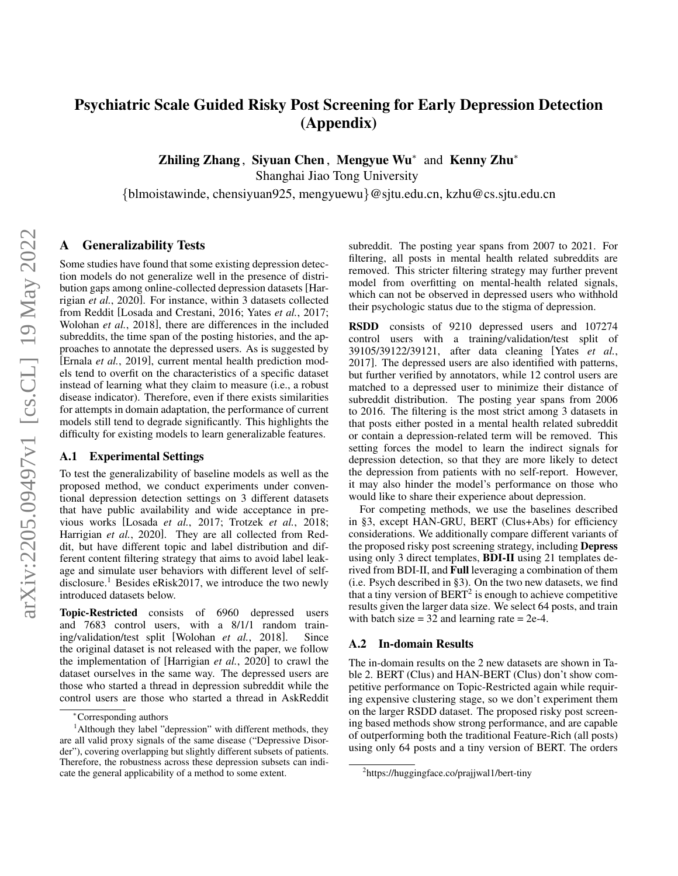# Psychiatric Scale Guided Risky Post Screening for Early Depression Detection (Appendix)

Zhiling Zhang, Siyuan Chen, Mengyue Wu<sup>∗</sup> and Kenny Zhu<sup>∗</sup>

Shanghai Jiao Tong University

{blmoistawinde, chensiyuan925, mengyuewu}@sjtu.edu.cn, kzhu@cs.sjtu.edu.cn

### A Generalizability Tests

Some studies have found that some existing depression detection models do not generalize well in the presence of distribution gaps among online-collected depression datasets [Harrigian *et al.*, 2020]. For instance, within 3 datasets collected from Reddit [Losada and Crestani, 2016; Yates *et al.*, 2017; Wolohan *et al.*, 2018], there are differences in the included subreddits, the time span of the posting histories, and the approaches to annotate the depressed users. As is suggested by [Ernala *et al.*, 2019], current mental health prediction models tend to overfit on the characteristics of a specific dataset instead of learning what they claim to measure (i.e., a robust disease indicator). Therefore, even if there exists similarities for attempts in domain adaptation, the performance of current models still tend to degrade significantly. This highlights the difficulty for existing models to learn generalizable features.

### A.1 Experimental Settings

To test the generalizability of baseline models as well as the proposed method, we conduct experiments under conventional depression detection settings on 3 different datasets that have public availability and wide acceptance in previous works [Losada *et al.*, 2017; Trotzek *et al.*, 2018; Harrigian *et al.*, 2020]. They are all collected from Reddit, but have different topic and label distribution and different content filtering strategy that aims to avoid label leakage and simulate user behaviors with different level of selfdisclosure.<sup>1</sup> Besides eRisk2017, we introduce the two newly introduced datasets below.

Topic-Restricted consists of 6960 depressed users and 7683 control users, with a 8/1/1 random training/validation/test split [Wolohan *et al.*, 2018]. Since the original dataset is not released with the paper, we follow the implementation of [Harrigian *et al.*, 2020] to crawl the dataset ourselves in the same way. The depressed users are those who started a thread in depression subreddit while the control users are those who started a thread in AskReddit subreddit. The posting year spans from 2007 to 2021. For filtering, all posts in mental health related subreddits are removed. This stricter filtering strategy may further prevent model from overfitting on mental-health related signals, which can not be observed in depressed users who withhold their psychologic status due to the stigma of depression.

RSDD consists of 9210 depressed users and 107274 control users with a training/validation/test split of 39105/39122/39121, after data cleaning [Yates *et al.*, 2017]. The depressed users are also identified with patterns, but further verified by annotators, while 12 control users are matched to a depressed user to minimize their distance of subreddit distribution. The posting year spans from 2006 to 2016. The filtering is the most strict among 3 datasets in that posts either posted in a mental health related subreddit or contain a depression-related term will be removed. This setting forces the model to learn the indirect signals for depression detection, so that they are more likely to detect the depression from patients with no self-report. However, it may also hinder the model's performance on those who would like to share their experience about depression.

For competing methods, we use the baselines described in §3, except HAN-GRU, BERT (Clus+Abs) for efficiency considerations. We additionally compare different variants of the proposed risky post screening strategy, including Depress using only 3 direct templates, BDI-II using 21 templates derived from BDI-II, and Full leveraging a combination of them (i.e. Psych described in §3). On the two new datasets, we find that a tiny version of  $BERT<sup>2</sup>$  is enough to achieve competitive results given the larger data size. We select 64 posts, and train with batch size  $= 32$  and learning rate  $= 2e-4$ .

#### A.2 In-domain Results

The in-domain results on the 2 new datasets are shown in Table 2. BERT (Clus) and HAN-BERT (Clus) don't show competitive performance on Topic-Restricted again while requiring expensive clustering stage, so we don't experiment them on the larger RSDD dataset. The proposed risky post screening based methods show strong performance, and are capable of outperforming both the traditional Feature-Rich (all posts) using only 64 posts and a tiny version of BERT. The orders

<sup>∗</sup>Corresponding authors

<sup>&</sup>lt;sup>1</sup>Although they label "depression" with different methods, they are all valid proxy signals of the same disease ("Depressive Disorder"), covering overlapping but slightly different subsets of patients. Therefore, the robustness across these depression subsets can indicate the general applicability of a method to some extent.

<sup>&</sup>lt;sup>2</sup>https://huggingface.co/prajjwal1/bert-tiny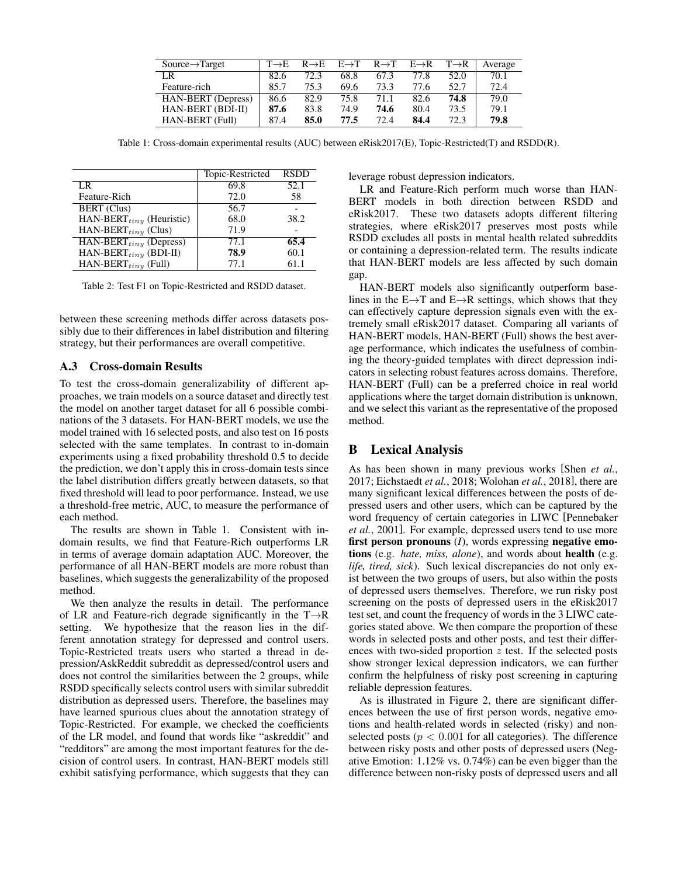| $Source \rightarrow Target$ | $T\rightarrow E$ | $R \rightarrow E$ | $E \rightarrow T$ | $R \rightarrow T$ | $E\rightarrow R$ | $T\rightarrow R$ | Average |
|-----------------------------|------------------|-------------------|-------------------|-------------------|------------------|------------------|---------|
| LR                          | 82.6             | 72.3              | 68.8              | 67.3              | 77.8             | 52.0             | 70.1    |
| Feature-rich                | 85.7             | 75.3              | 69.6              | 73.3              | 77.6             | 52.7             | 72.4    |
| <b>HAN-BERT</b> (Depress)   | 86.6             | 82.9              | 75.8              | 71.1              | 82.6             | 74.8             | 79.0    |
| HAN-BERT (BDI-II)           | 87.6             | 83.8              | 74.9              | 74.6              | 80.4             | 73.5             | 79.1    |
| HAN-BERT (Full)             | 87.4             | 85.0              | 77.5              | 72.4              | 84.4             | 72.3             | 79.8    |

Table 1: Cross-domain experimental results (AUC) between eRisk2017(E), Topic-Restricted(T) and RSDD(R).

|                                | Topic-Restricted | <b>RSDD</b> |
|--------------------------------|------------------|-------------|
| LR                             | 69.8             | 52.1        |
| Feature-Rich                   | 72.0             | 58          |
| <b>BERT</b> (Clus)             | 56.7             |             |
| HAN-BERT $_{tiny}$ (Heuristic) | 68.0             | 38.2        |
| HAN-BERT $_{tiny}$ (Clus)      | 71.9             |             |
| $HAN-BERT_{tiny}$ (Depress)    | 77.1             | 65.4        |
| HAN-BERT $_{tiny}$ (BDI-II)    | 78.9             | 60.1        |
| $HAN-BERT_{tiny}$ (Full)       | 77.1             | 61.1        |

Table 2: Test F1 on Topic-Restricted and RSDD dataset.

between these screening methods differ across datasets possibly due to their differences in label distribution and filtering strategy, but their performances are overall competitive.

### A.3 Cross-domain Results

To test the cross-domain generalizability of different approaches, we train models on a source dataset and directly test the model on another target dataset for all 6 possible combinations of the 3 datasets. For HAN-BERT models, we use the model trained with 16 selected posts, and also test on 16 posts selected with the same templates. In contrast to in-domain experiments using a fixed probability threshold 0.5 to decide the prediction, we don't apply this in cross-domain tests since the label distribution differs greatly between datasets, so that fixed threshold will lead to poor performance. Instead, we use a threshold-free metric, AUC, to measure the performance of each method.

The results are shown in Table 1. Consistent with indomain results, we find that Feature-Rich outperforms LR in terms of average domain adaptation AUC. Moreover, the performance of all HAN-BERT models are more robust than baselines, which suggests the generalizability of the proposed method.

We then analyze the results in detail. The performance of LR and Feature-rich degrade significantly in the  $T\rightarrow R$ setting. We hypothesize that the reason lies in the different annotation strategy for depressed and control users. Topic-Restricted treats users who started a thread in depression/AskReddit subreddit as depressed/control users and does not control the similarities between the 2 groups, while RSDD specifically selects control users with similar subreddit distribution as depressed users. Therefore, the baselines may have learned spurious clues about the annotation strategy of Topic-Restricted. For example, we checked the coefficients of the LR model, and found that words like "askreddit" and "redditors" are among the most important features for the decision of control users. In contrast, HAN-BERT models still exhibit satisfying performance, which suggests that they can leverage robust depression indicators.

LR and Feature-Rich perform much worse than HAN-BERT models in both direction between RSDD and eRisk2017. These two datasets adopts different filtering strategies, where eRisk2017 preserves most posts while RSDD excludes all posts in mental health related subreddits or containing a depression-related term. The results indicate that HAN-BERT models are less affected by such domain gap.

HAN-BERT models also significantly outperform baselines in the  $E \rightarrow T$  and  $E \rightarrow R$  settings, which shows that they can effectively capture depression signals even with the extremely small eRisk2017 dataset. Comparing all variants of HAN-BERT models, HAN-BERT (Full) shows the best average performance, which indicates the usefulness of combining the theory-guided templates with direct depression indicators in selecting robust features across domains. Therefore, HAN-BERT (Full) can be a preferred choice in real world applications where the target domain distribution is unknown, and we select this variant as the representative of the proposed method.

### B Lexical Analysis

As has been shown in many previous works [Shen *et al.*, 2017; Eichstaedt *et al.*, 2018; Wolohan *et al.*, 2018], there are many significant lexical differences between the posts of depressed users and other users, which can be captured by the word frequency of certain categories in LIWC [Pennebaker *et al.*, 2001]. For example, depressed users tend to use more first person pronouns (*I*), words expressing negative emotions (e.g. *hate, miss, alone*), and words about health (e.g. *life, tired, sick*). Such lexical discrepancies do not only exist between the two groups of users, but also within the posts of depressed users themselves. Therefore, we run risky post screening on the posts of depressed users in the eRisk2017 test set, and count the frequency of words in the 3 LIWC categories stated above. We then compare the proportion of these words in selected posts and other posts, and test their differences with two-sided proportion  $z$  test. If the selected posts show stronger lexical depression indicators, we can further confirm the helpfulness of risky post screening in capturing reliable depression features.

As is illustrated in Figure 2, there are significant differences between the use of first person words, negative emotions and health-related words in selected (risky) and nonselected posts ( $p < 0.001$  for all categories). The difference between risky posts and other posts of depressed users (Negative Emotion: 1.12% vs. 0.74%) can be even bigger than the difference between non-risky posts of depressed users and all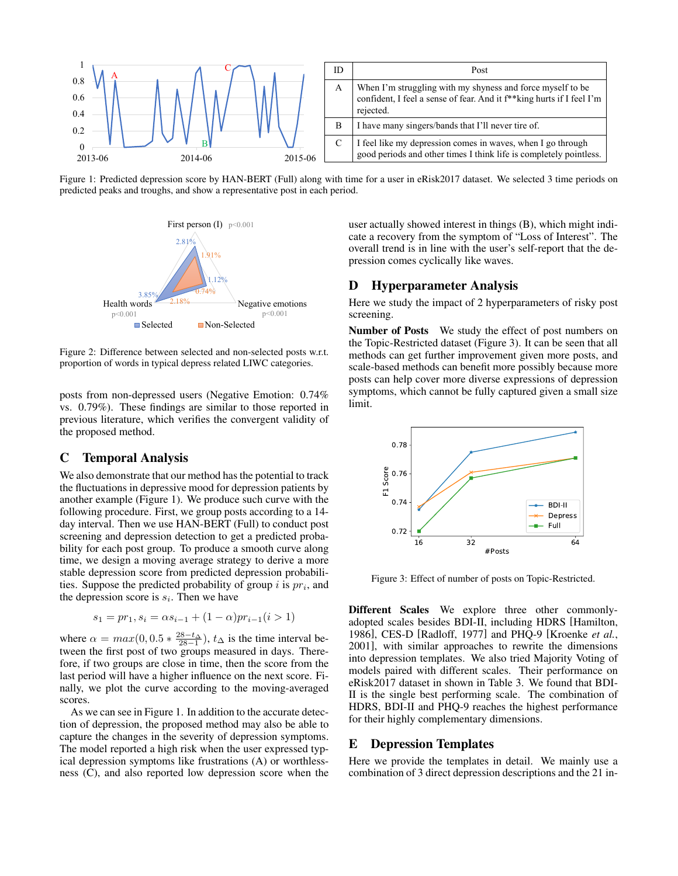

Figure 1: Predicted depression score by HAN-BERT (Full) along with time for a user in eRisk2017 dataset. We selected 3 time periods on predicted peaks and troughs, and show a representative post in each period.



Figure 2: Difference between selected and non-selected posts w.r.t. proportion of words in typical depress related LIWC categories.

posts from non-depressed users (Negative Emotion: 0.74% vs. 0.79%). These findings are similar to those reported in previous literature, which verifies the convergent validity of the proposed method.

### C Temporal Analysis

We also demonstrate that our method has the potential to track the fluctuations in depressive mood for depression patients by another example (Figure 1). We produce such curve with the following procedure. First, we group posts according to a 14 day interval. Then we use HAN-BERT (Full) to conduct post screening and depression detection to get a predicted probability for each post group. To produce a smooth curve along time, we design a moving average strategy to derive a more stable depression score from predicted depression probabilities. Suppose the predicted probability of group  $i$  is  $pr_i$ , and the depression score is  $s_i$ . Then we have

$$
s_1 = pr_1, s_i = \alpha s_{i-1} + (1 - \alpha) pr_{i-1} (i > 1)
$$

where  $\alpha = max(0, 0.5 * \frac{28-t_{\Delta}}{28-1}), t_{\Delta}$  is the time interval between the first post of two groups measured in days. Therefore, if two groups are close in time, then the score from the last period will have a higher influence on the next score. Finally, we plot the curve according to the moving-averaged scores.

As we can see in Figure 1. In addition to the accurate detection of depression, the proposed method may also be able to capture the changes in the severity of depression symptoms. The model reported a high risk when the user expressed typical depression symptoms like frustrations (A) or worthlessness (C), and also reported low depression score when the

 $2.81\%$ <br>overall trend is in line with the user's self-report that the de-1.91% pression comes cyclically like waves.  $p<0.001$  user actually showed interest in things (B), which might indicate a recovery from the symptom of "Loss of Interest". The

# D Hyperparameter Analysis

Health words  $\sim$  2.18% Negative emotions Here we study the impact of 2 hyperparameters of risky post

Number of Posts We study the effect of post numbers on the Topic-Restricted dataset (Figure 3). It can be seen that all methods can get further improvement given more posts, and scale-based methods can benefit more possibly because more posts can help cover more diverse expressions of depression symptoms, which cannot be fully captured given a small size limit.



Figure 3: Effect of number of posts on Topic-Restricted.

Different Scales We explore three other commonlyadopted scales besides BDI-II, including HDRS [Hamilton, 1986], CES-D [Radloff, 1977] and PHQ-9 [Kroenke *et al.*, 2001], with similar approaches to rewrite the dimensions into depression templates. We also tried Majority Voting of models paired with different scales. Their performance on eRisk2017 dataset in shown in Table 3. We found that BDI-II is the single best performing scale. The combination of HDRS, BDI-II and PHQ-9 reaches the highest performance for their highly complementary dimensions.

#### E Depression Templates

Here we provide the templates in detail. We mainly use a combination of 3 direct depression descriptions and the 21 in-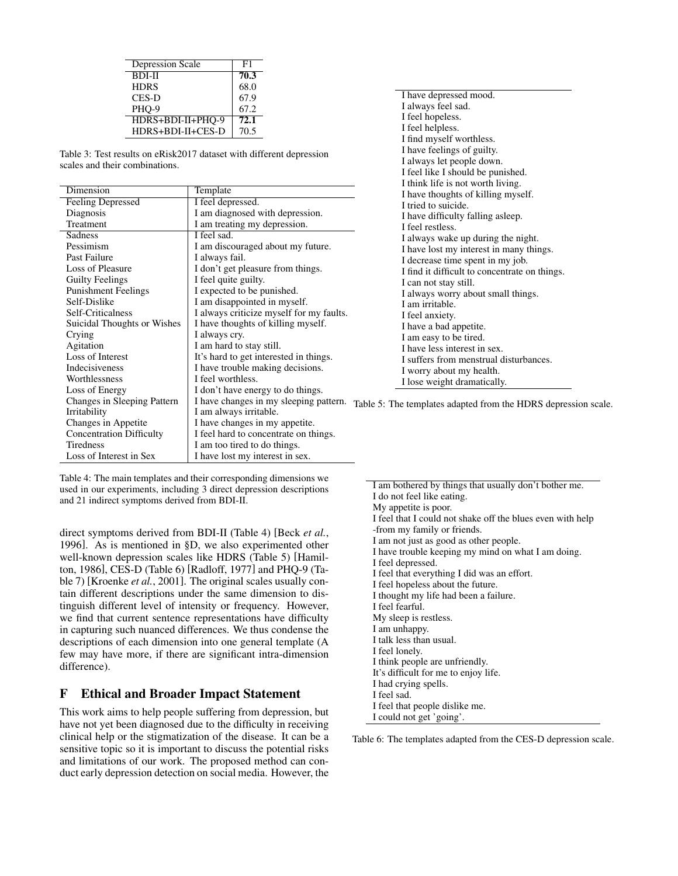| Depression Scale  | F1   |
|-------------------|------|
| <b>BDI-II</b>     | 70.3 |
| <b>HDRS</b>       | 68.0 |
| CES-D             | 67.9 |
| PHO-9             | 67.2 |
| HDRS+BDI-II+PHO-9 | 72.1 |
| HDRS+BDI-II+CES-D | 70.5 |

Table 3: Test results on eRisk2017 dataset with different depression scales and their combinations.

|                                 |                                          | I think life is not worth living.                              |
|---------------------------------|------------------------------------------|----------------------------------------------------------------|
| Dimension                       | Template                                 | I have thoughts of killing myself.                             |
| <b>Feeling Depressed</b>        | I feel depressed.                        | I tried to suicide.                                            |
| Diagnosis                       | I am diagnosed with depression.          | I have difficulty falling as leep.                             |
| Treatment                       | I am treating my depression.             | I feel restless.                                               |
| Sadness                         | I feel sad.                              | I always wake up during the night.                             |
| Pessimism                       | I am discouraged about my future.        | I have lost my interest in many things.                        |
| Past Failure                    | I always fail.                           | I decrease time spent in my job.                               |
| Loss of Pleasure                | I don't get pleasure from things.        | I find it difficult to concentrate on things.                  |
| <b>Guilty Feelings</b>          | I feel quite guilty.                     | I can not stay still.                                          |
| <b>Punishment Feelings</b>      | I expected to be punished.               | I always worry about small things.                             |
| Self-Dislike                    | I am disappointed in myself.             | I am irritable.                                                |
| Self-Criticalness               | I always criticize myself for my faults. | I feel anxiety.                                                |
| Suicidal Thoughts or Wishes     | I have thoughts of killing myself.       | I have a bad appetite.                                         |
| Crying                          | I always cry.                            | I am easy to be tired.                                         |
| Agitation                       | I am hard to stay still.                 | I have less interest in sex.                                   |
| Loss of Interest                | It's hard to get interested in things.   | I suffers from menstrual disturbances.                         |
| Indecisiveness                  | I have trouble making decisions.         | I worry about my health.                                       |
| Worthlessness                   | I feel worthless.                        | I lose weight dramatically.                                    |
| Loss of Energy                  | I don't have energy to do things.        |                                                                |
| Changes in Sleeping Pattern     | I have changes in my sleeping pattern.   | Table 5: The templates adapted from the HDRS depression scale. |
| Irritability                    | I am always irritable.                   |                                                                |
| Changes in Appetite             | I have changes in my appetite.           |                                                                |
| <b>Concentration Difficulty</b> | I feel hard to concentrate on things.    |                                                                |
| Tiredness                       | I am too tired to do things.             |                                                                |
| Loss of Interest in Sex         | I have lost my interest in sex.          |                                                                |

Table 4: The main templates and their corresponding dimensions we used in our experiments, including 3 direct depression descriptions and 21 indirect symptoms derived from BDI-II.

direct symptoms derived from BDI-II (Table 4) [Beck *et al.*, 1996]. As is mentioned in §D, we also experimented other well-known depression scales like HDRS (Table 5) [Hamilton, 1986], CES-D (Table 6) [Radloff, 1977] and PHQ-9 (Table 7) [Kroenke *et al.*, 2001]. The original scales usually contain different descriptions under the same dimension to distinguish different level of intensity or frequency. However, we find that current sentence representations have difficulty in capturing such nuanced differences. We thus condense the descriptions of each dimension into one general template (A few may have more, if there are significant intra-dimension difference).

## F Ethical and Broader Impact Statement

This work aims to help people suffering from depression, but have not yet been diagnosed due to the difficulty in receiving clinical help or the stigmatization of the disease. It can be a sensitive topic so it is important to discuss the potential risks and limitations of our work. The proposed method can conduct early depression detection on social media. However, the

I have depressed mood. I always feel sad. I feel hopeless. I feel helpless. I find myself worthless. I have feelings of guilty. I always let people down. I feel like I should be punished.

Table 6: The templates adapted from the CES-D depression scale.